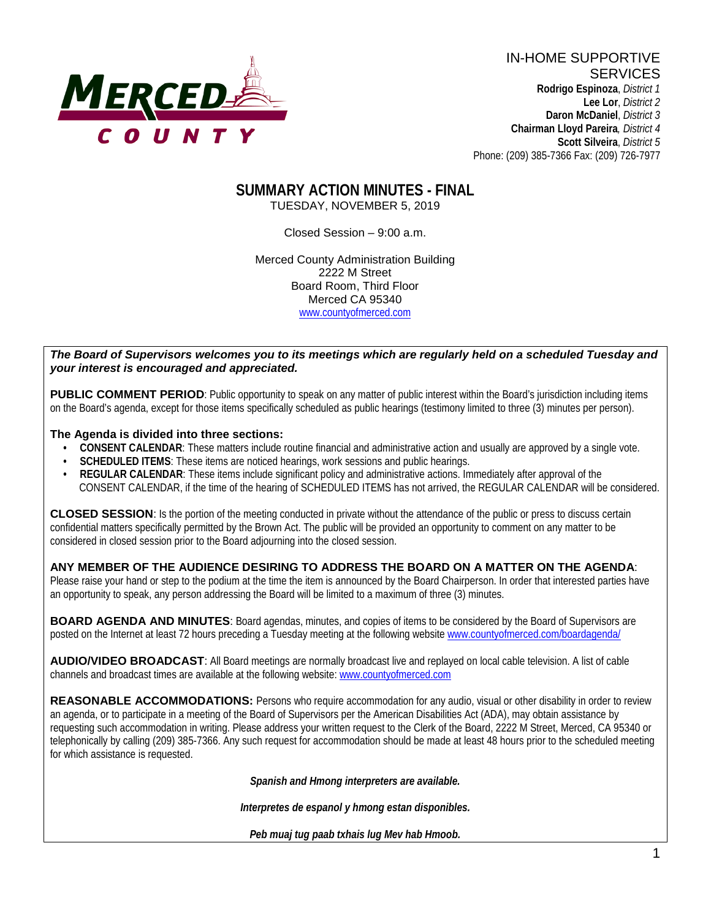

IN-HOME SUPPORTIVE **SERVICES Rodrigo Espinoza**, *District 1*  **Lee Lor**, *District 2*  **Daron McDaniel**, *District 3* **Chairman Lloyd Pareira***, District 4*  **Scott Silveira**, *District 5* Phone: (209) 385-7366 Fax: (209) 726-7977

## **SUMMARY ACTION MINUTES - FINAL** TUESDAY, NOVEMBER 5, 2019

Closed Session – 9:00 a.m.

Merced County Administration Building 2222 M Street Board Room, Third Floor Merced CA 95340 www.countyofmerced.com

#### *The Board of Supervisors welcomes you to its meetings which are regularly held on a scheduled Tuesday and your interest is encouraged and appreciated.*

**PUBLIC COMMENT PERIOD:** Public opportunity to speak on any matter of public interest within the Board's jurisdiction including items on the Board's agenda, except for those items specifically scheduled as public hearings (testimony limited to three (3) minutes per person).

#### **The Agenda is divided into three sections:**

- **CONSENT CALENDAR**: These matters include routine financial and administrative action and usually are approved by a single vote.
- **SCHEDULED ITEMS:** These items are noticed hearings, work sessions and public hearings.
- **REGULAR CALENDAR:** These items include significant policy and administrative actions. Immediately after approval of the CONSENT CALENDAR, if the time of the hearing of SCHEDULED ITEMS has not arrived, the REGULAR CALENDAR will be considered.

**CLOSED SESSION**: Is the portion of the meeting conducted in private without the attendance of the public or press to discuss certain confidential matters specifically permitted by the Brown Act. The public will be provided an opportunity to comment on any matter to be considered in closed session prior to the Board adjourning into the closed session.

#### **ANY MEMBER OF THE AUDIENCE DESIRING TO ADDRESS THE BOARD ON A MATTER ON THE AGENDA**:

Please raise your hand or step to the podium at the time the item is announced by the Board Chairperson. In order that interested parties have an opportunity to speak, any person addressing the Board will be limited to a maximum of three (3) minutes.

**BOARD AGENDA AND MINUTES:** Board agendas, minutes, and copies of items to be considered by the Board of Supervisors are posted on the Internet at least 72 hours preceding a Tuesday meeting at the following website [www.countyofmerced.com/boardagenda/](http://www.countyofmerced.com/boardagenda/) 

**AUDIO/VIDEO BROADCAST**: All Board meetings are normally broadcast live and replayed on local cable television. A list of cable channels and broadcast times are available at the following website[: www.countyofmerced.com](http://www.countyofmerced.com/)

**REASONABLE ACCOMMODATIONS:** Persons who require accommodation for any audio, visual or other disability in order to review an agenda, or to participate in a meeting of the Board of Supervisors per the American Disabilities Act (ADA), may obtain assistance by requesting such accommodation in writing. Please address your written request to the Clerk of the Board, 2222 M Street, Merced, CA 95340 or telephonically by calling (209) 385-7366. Any such request for accommodation should be made at least 48 hours prior to the scheduled meeting for which assistance is requested.

*Spanish and Hmong interpreters are available.*

*Interpretes de espanol y hmong estan disponibles.*

*Peb muaj tug paab txhais lug Mev hab Hmoob.*